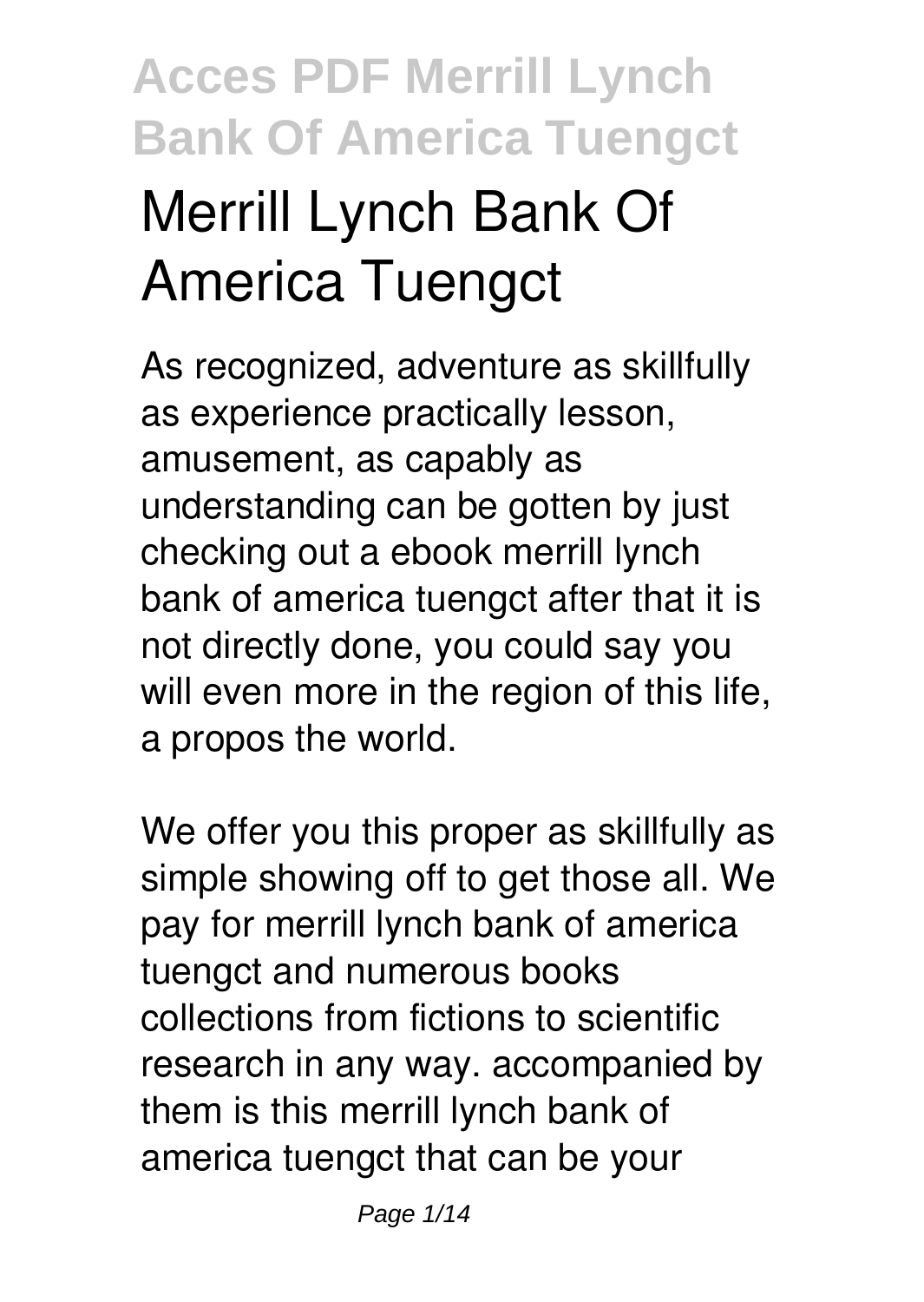# **Acces PDF Merrill Lynch Bank Of America Tuengct Merrill Lynch Bank Of America Tuengct**

As recognized, adventure as skillfully as experience practically lesson, amusement, as capably as understanding can be gotten by just checking out a ebook **merrill lynch bank of america tuengct** after that it is not directly done, you could say you will even more in the region of this life, a propos the world.

We offer you this proper as skillfully as simple showing off to get those all. We pay for merrill lynch bank of america tuengct and numerous books collections from fictions to scientific research in any way. accompanied by them is this merrill lynch bank of america tuengct that can be your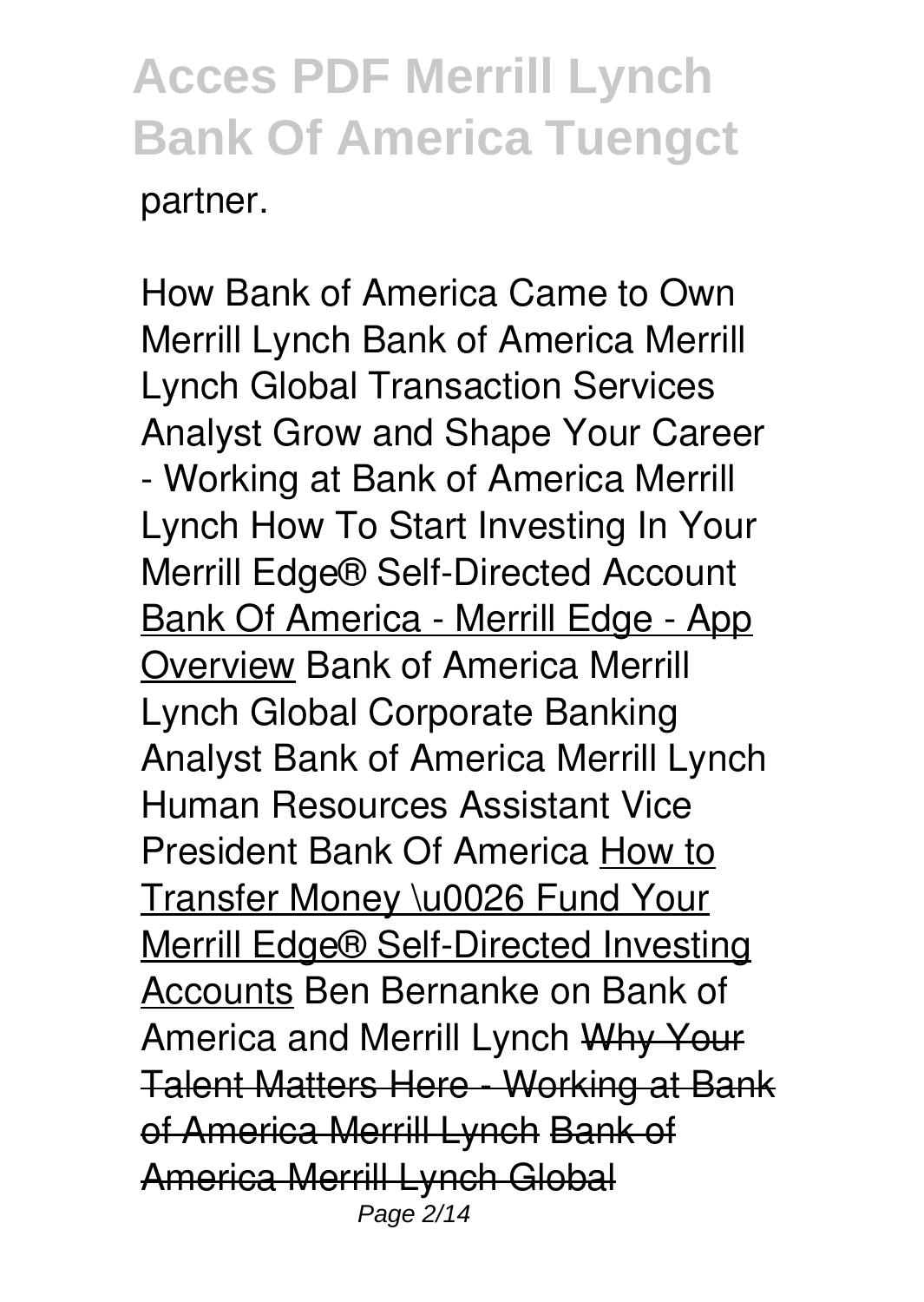How Bank of America Came to Own Merrill Lynch *Bank of America Merrill Lynch Global Transaction Services Analyst* **Grow and Shape Your Career - Working at Bank of America Merrill Lynch** How To Start Investing In Your Merrill Edge® Self-Directed Account Bank Of America - Merrill Edge - App Overview Bank of America Merrill Lynch Global Corporate Banking Analyst *Bank of America Merrill Lynch Human Resources Assistant Vice President Bank Of America* How to Transfer Money \u0026 Fund Your Merrill Edge® Self-Directed Investing Accounts *Ben Bernanke on Bank of America and Merrill Lynch* Why Your Talent Matters Here - Working at Bank of America Merrill Lynch Bank of America Merrill Lynch Global Page 2/14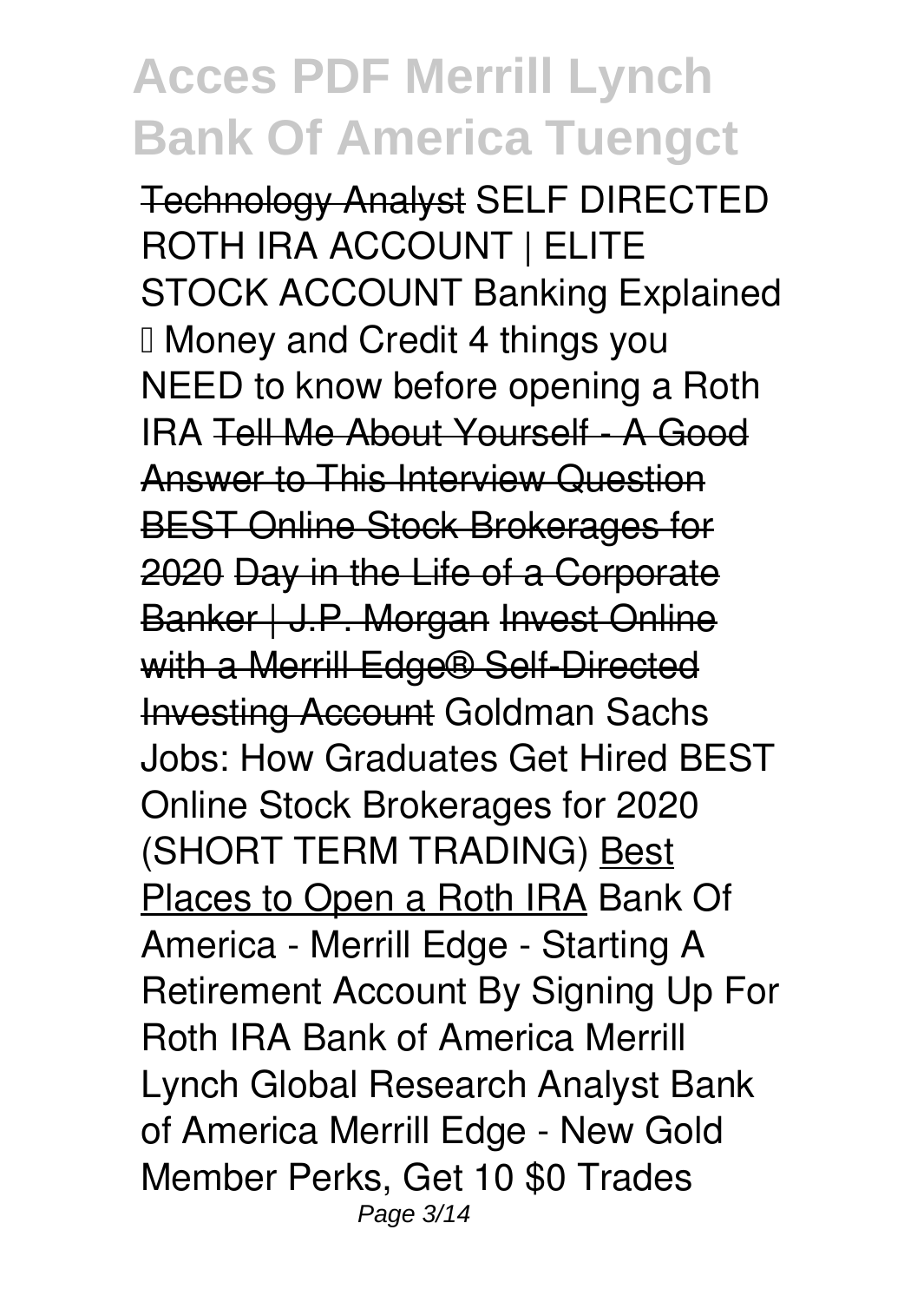Technology Analyst **SELF DIRECTED ROTH IRA ACCOUNT | ELITE STOCK ACCOUNT** *Banking Explained – Money and Credit 4 things you NEED to know before opening a Roth IRA* Tell Me About Yourself - A Good Answer to This Interview Question BEST Online Stock Brokerages for 2020 Day in the Life of a Corporate Banker | J.P. Morgan Invest Online with a Merrill Edge<sup>®</sup> Self-Directed Investing Account **Goldman Sachs Jobs: How Graduates Get Hired** *BEST Online Stock Brokerages for 2020 (SHORT TERM TRADING)* Best Places to Open a Roth IRA Bank Of America - Merrill Edge - Starting A Retirement Account By Signing Up For Roth IRA *Bank of America Merrill Lynch Global Research Analyst Bank of America Merrill Edge - New Gold Member Perks, Get 10 \$0 Trades* Page 3/14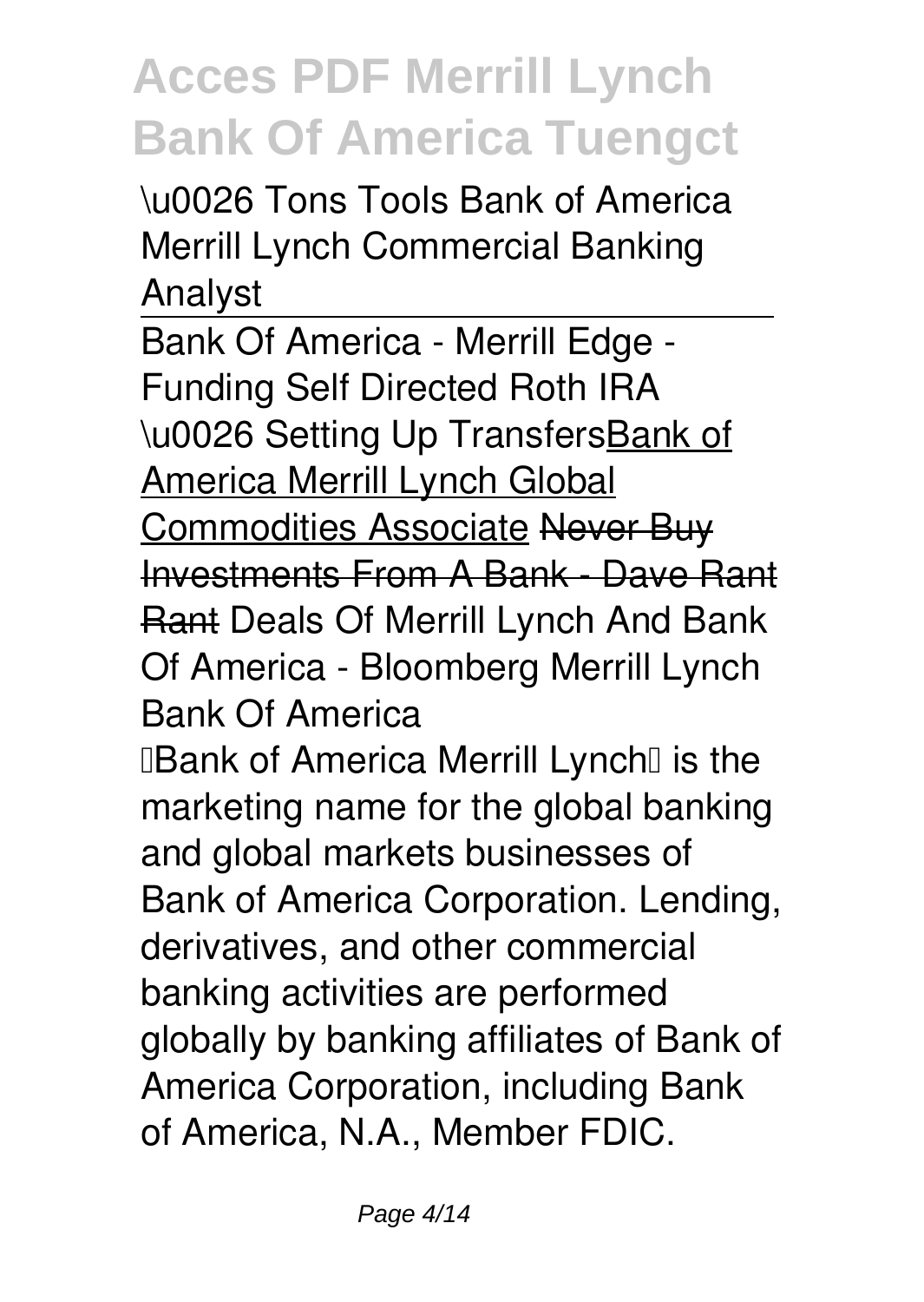*\u0026 Tons Tools Bank of America Merrill Lynch Commercial Banking Analyst*

Bank Of America - Merrill Edge - Funding Self Directed Roth IRA \u0026 Setting Up TransfersBank of America Merrill Lynch Global Commodities Associate Never Buy Investments From A Bank - Dave Rant Rant *Deals Of Merrill Lynch And Bank Of America - Bloomberg Merrill Lynch Bank Of America*

**Bank of America Merrill Lynch** is the marketing name for the global banking and global markets businesses of Bank of America Corporation. Lending, derivatives, and other commercial banking activities are performed globally by banking affiliates of Bank of America Corporation, including Bank of America, N.A., Member FDIC.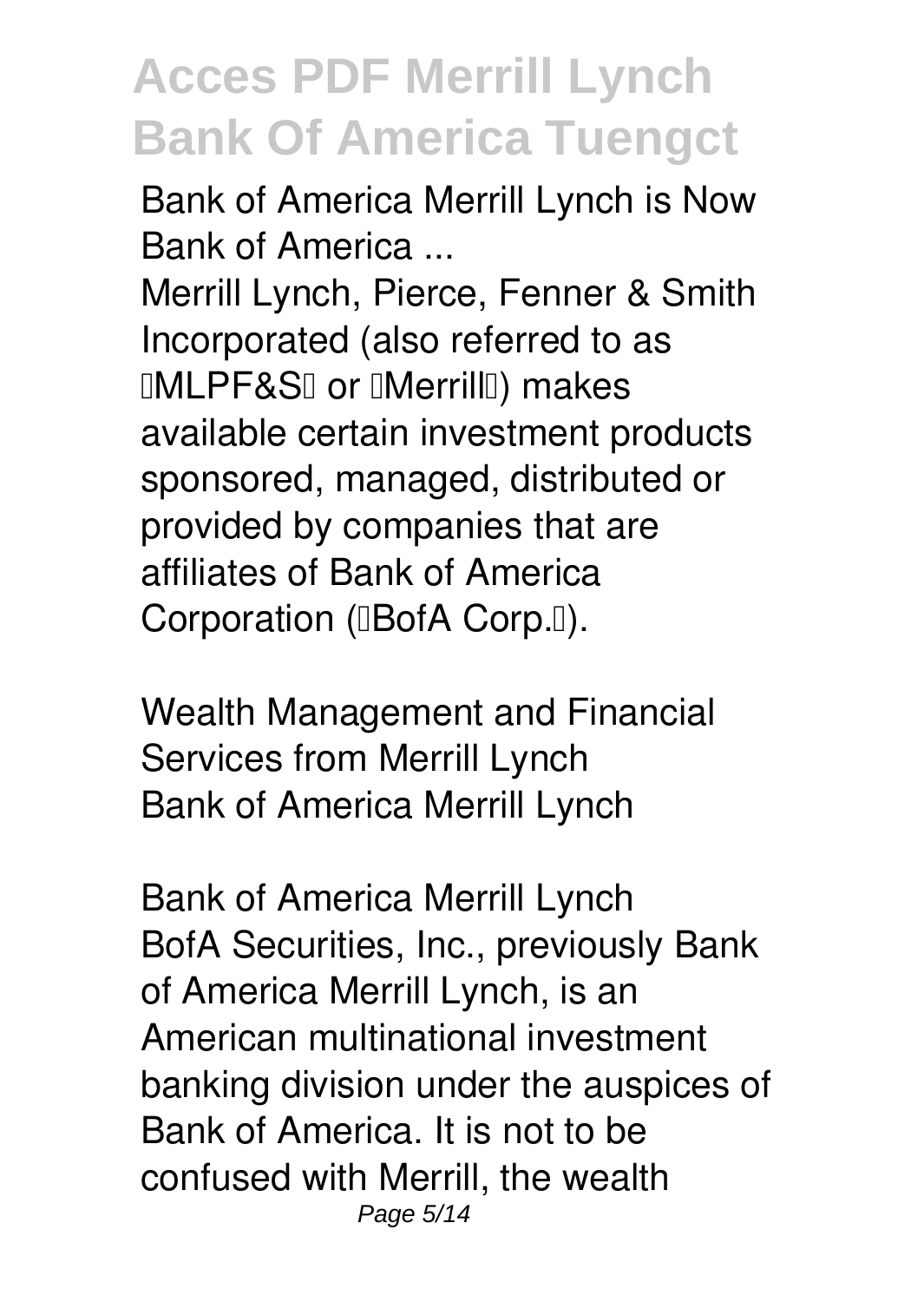*Bank of America Merrill Lynch is Now Bank of America ...*

Merrill Lynch, Pierce, Fenner & Smith Incorporated (also referred to as **IMLPF&SI or IMerrillI**) makes available certain investment products sponsored, managed, distributed or provided by companies that are affiliates of Bank of America Corporation (**BofA Corp.** []).

*Wealth Management and Financial Services from Merrill Lynch* Bank of America Merrill Lynch

*Bank of America Merrill Lynch* BofA Securities, Inc., previously Bank of America Merrill Lynch, is an American multinational investment banking division under the auspices of Bank of America. It is not to be confused with Merrill, the wealth Page 5/14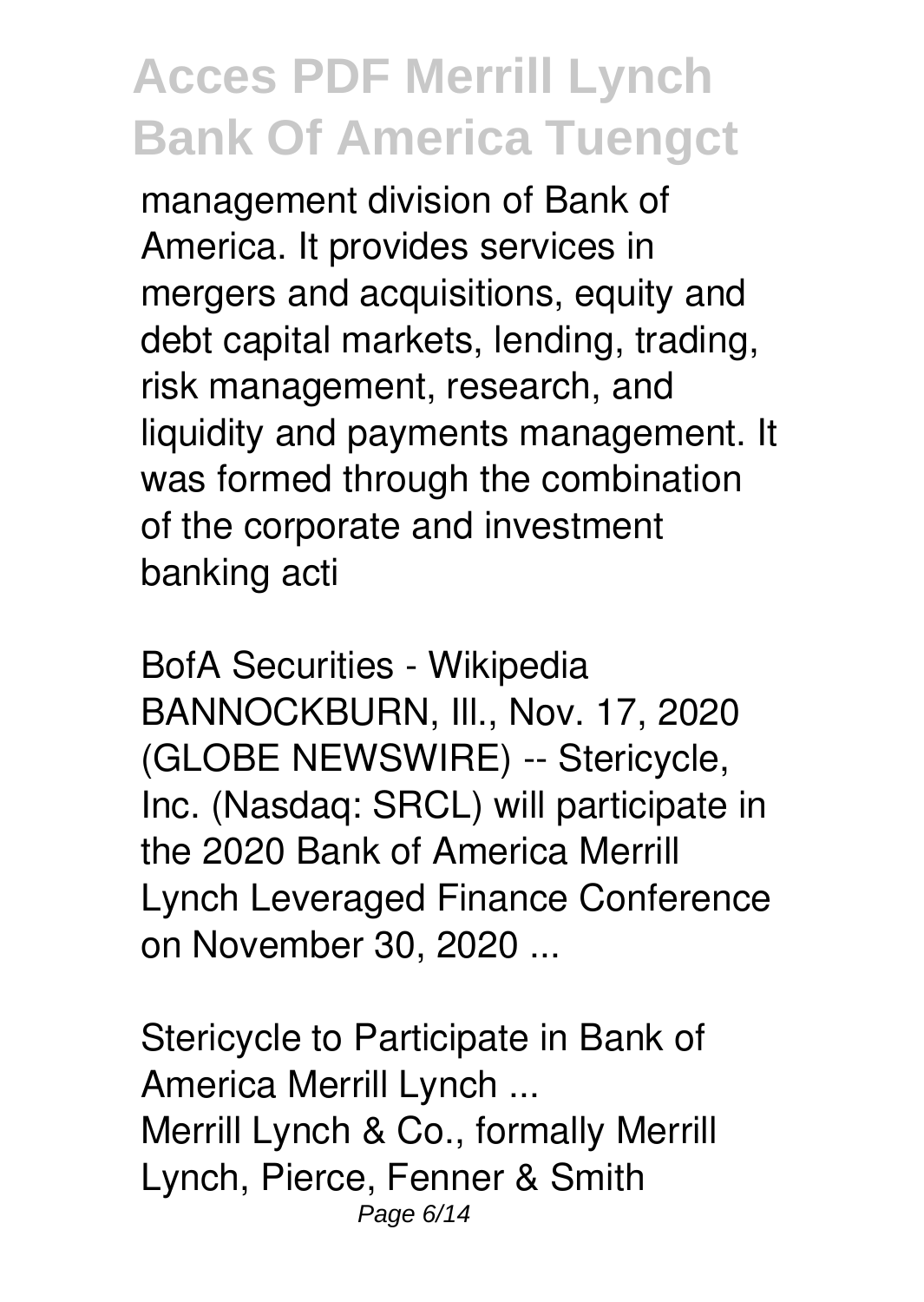management division of Bank of America. It provides services in mergers and acquisitions, equity and debt capital markets, lending, trading, risk management, research, and liquidity and payments management. It was formed through the combination of the corporate and investment banking acti

*BofA Securities - Wikipedia* BANNOCKBURN, III., Nov. 17, 2020 (GLOBE NEWSWIRE) -- Stericycle, Inc. (Nasdaq: SRCL) will participate in the 2020 Bank of America Merrill Lynch Leveraged Finance Conference on November 30, 2020 ...

*Stericycle to Participate in Bank of America Merrill Lynch ...* Merrill Lynch & Co., formally Merrill Lynch, Pierce, Fenner & Smith Page 6/14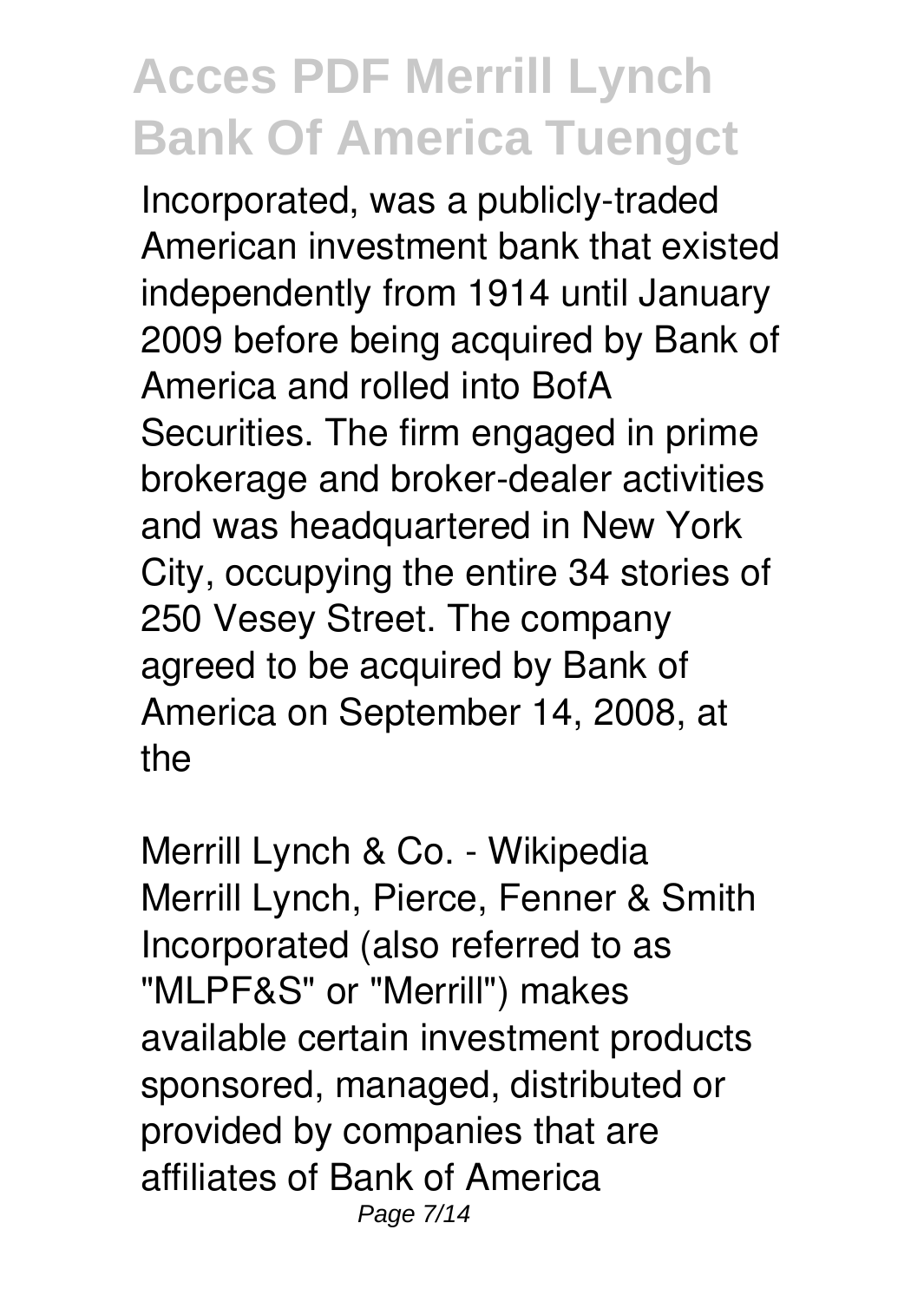Incorporated, was a publicly-traded American investment bank that existed independently from 1914 until January 2009 before being acquired by Bank of America and rolled into BofA Securities. The firm engaged in prime brokerage and broker-dealer activities and was headquartered in New York City, occupying the entire 34 stories of 250 Vesey Street. The company agreed to be acquired by Bank of America on September 14, 2008, at the

*Merrill Lynch & Co. - Wikipedia* Merrill Lynch, Pierce, Fenner & Smith Incorporated (also referred to as "MLPF&S" or "Merrill") makes available certain investment products sponsored, managed, distributed or provided by companies that are affiliates of Bank of America Page 7/14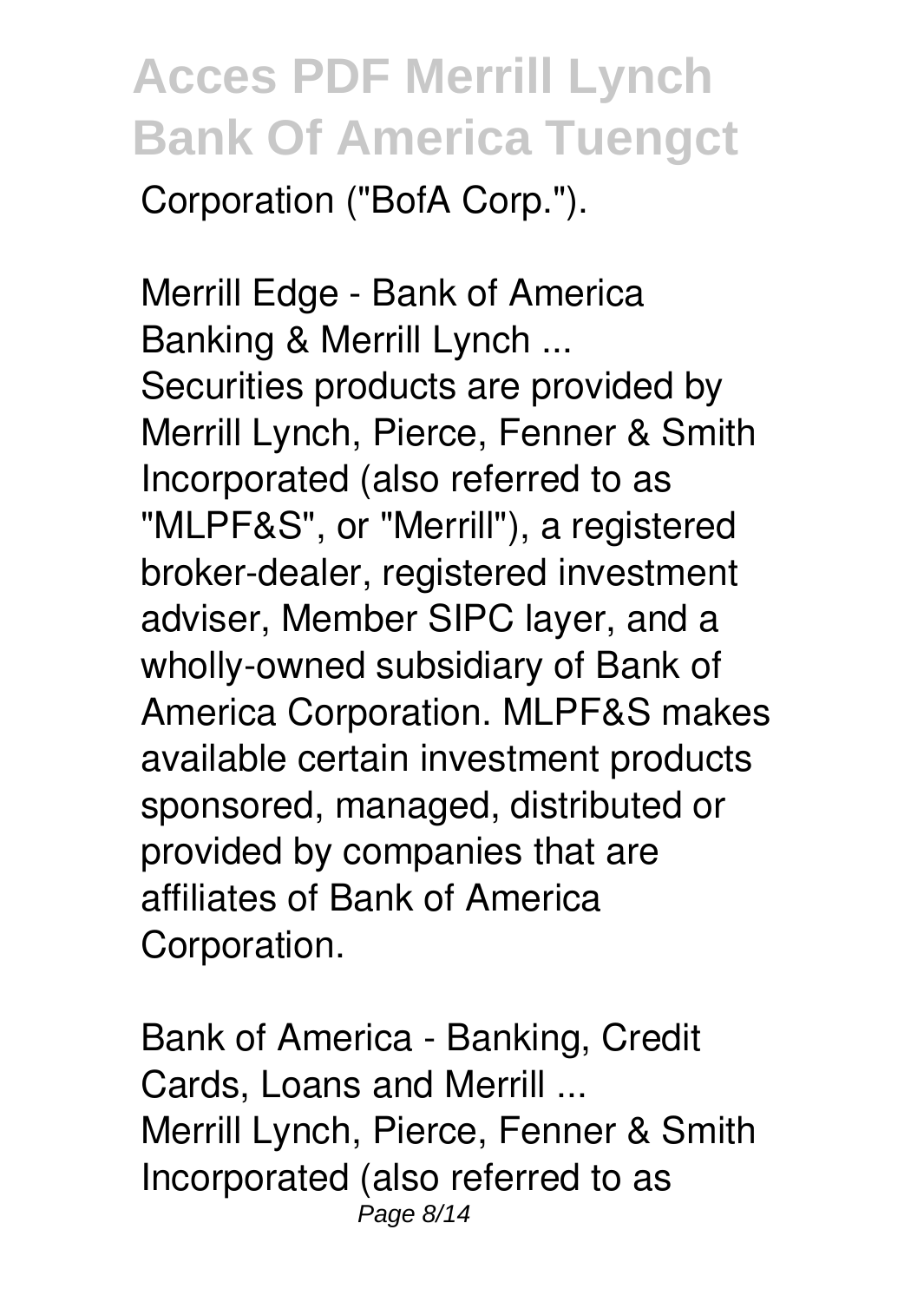Corporation ("BofA Corp.").

*Merrill Edge - Bank of America Banking & Merrill Lynch ...* Securities products are provided by Merrill Lynch, Pierce, Fenner & Smith Incorporated (also referred to as "MLPF&S", or "Merrill"), a registered broker-dealer, registered investment adviser, Member SIPC layer, and a wholly-owned subsidiary of Bank of America Corporation. MLPF&S makes available certain investment products sponsored, managed, distributed or provided by companies that are affiliates of Bank of America Corporation.

*Bank of America - Banking, Credit Cards, Loans and Merrill ...* Merrill Lynch, Pierce, Fenner & Smith Incorporated (also referred to as Page 8/14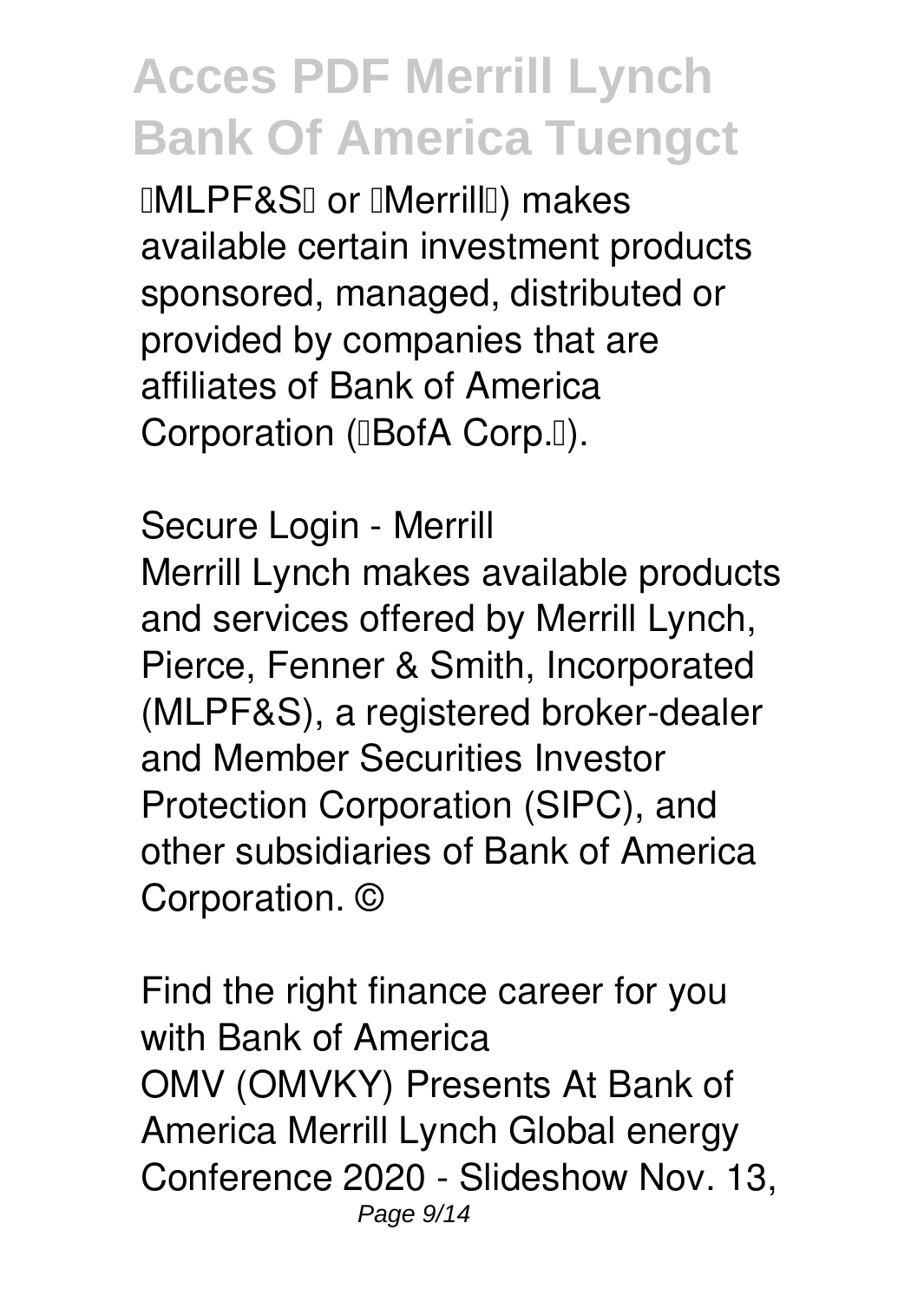**IMLPF&SI or IMerrillI**) makes available certain investment products sponsored, managed, distributed or provided by companies that are affiliates of Bank of America Corporation (IBofA Corp.I).

*Secure Login - Merrill* Merrill Lynch makes available products and services offered by Merrill Lynch, Pierce, Fenner & Smith, Incorporated (MLPF&S), a registered broker-dealer and Member Securities Investor Protection Corporation (SIPC), and other subsidiaries of Bank of America Corporation. ©

*Find the right finance career for you with Bank of America* OMV (OMVKY) Presents At Bank of America Merrill Lynch Global energy Conference 2020 - Slideshow Nov. 13, Page 9/14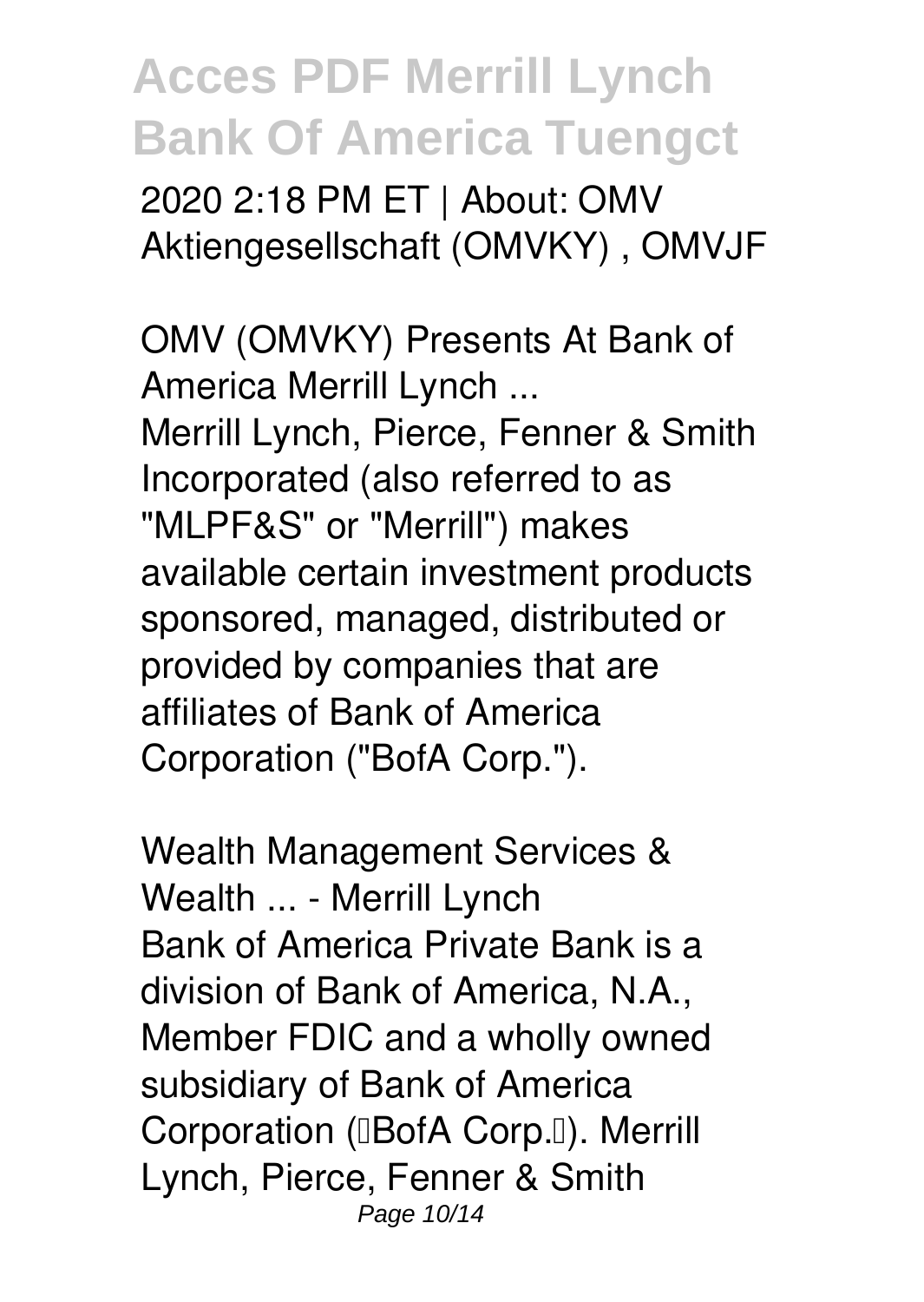2020 2:18 PM ET | About: OMV Aktiengesellschaft (OMVKY) , OMVJF

*OMV (OMVKY) Presents At Bank of America Merrill Lynch ...* Merrill Lynch, Pierce, Fenner & Smith Incorporated (also referred to as "MLPF&S" or "Merrill") makes available certain investment products sponsored, managed, distributed or provided by companies that are affiliates of Bank of America Corporation ("BofA Corp.").

*Wealth Management Services & Wealth ... - Merrill Lynch* Bank of America Private Bank is a division of Bank of America, N.A., Member FDIC and a wholly owned subsidiary of Bank of America Corporation (**BofA Corp.** []). Merrill Lynch, Pierce, Fenner & Smith Page 10/14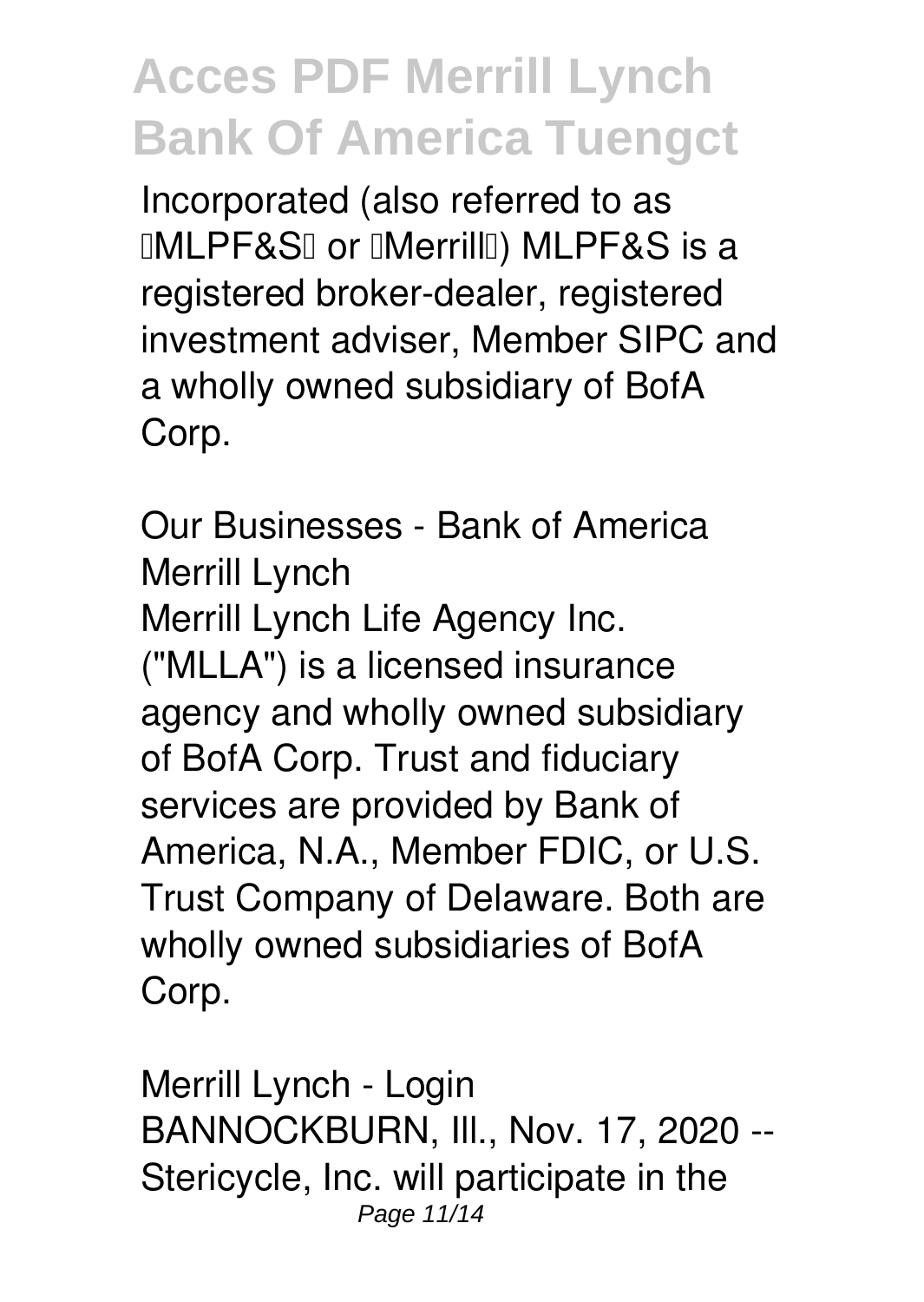Incorporated (also referred to as **IMLPF&SI or IMerrillI) MLPF&S is a** registered broker-dealer, registered investment adviser, Member SIPC and a wholly owned subsidiary of BofA Corp.

*Our Businesses - Bank of America Merrill Lynch* Merrill Lynch Life Agency Inc. ("MLLA") is a licensed insurance agency and wholly owned subsidiary of BofA Corp. Trust and fiduciary services are provided by Bank of America, N.A., Member FDIC, or U.S. Trust Company of Delaware. Both are wholly owned subsidiaries of BofA Corp.

*Merrill Lynch - Login* BANNOCKBURN, Ill., Nov. 17, 2020 -- Stericycle, Inc. will participate in the Page 11/14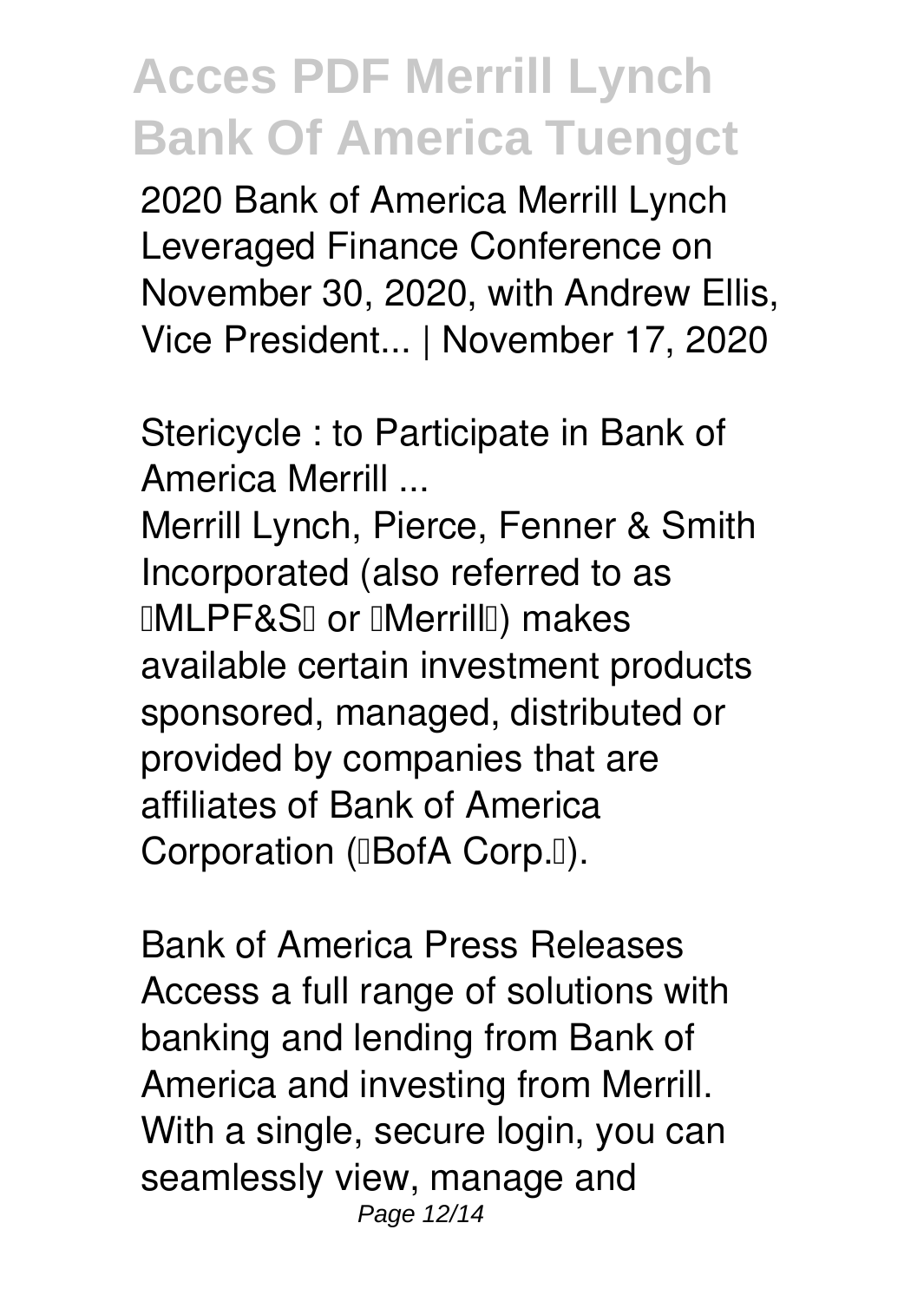2020 Bank of America Merrill Lynch Leveraged Finance Conference on November 30, 2020, with Andrew Ellis, Vice President... | November 17, 2020

*Stericycle : to Participate in Bank of America Merrill ...*

Merrill Lynch, Pierce, Fenner & Smith Incorporated (also referred to as **IMLPF&SI or IMerrillI**) makes available certain investment products sponsored, managed, distributed or provided by companies that are affiliates of Bank of America Corporation (**BofA Corp.** 0).

*Bank of America Press Releases* Access a full range of solutions with banking and lending from Bank of America and investing from Merrill. With a single, secure login, you can seamlessly view, manage and Page 12/14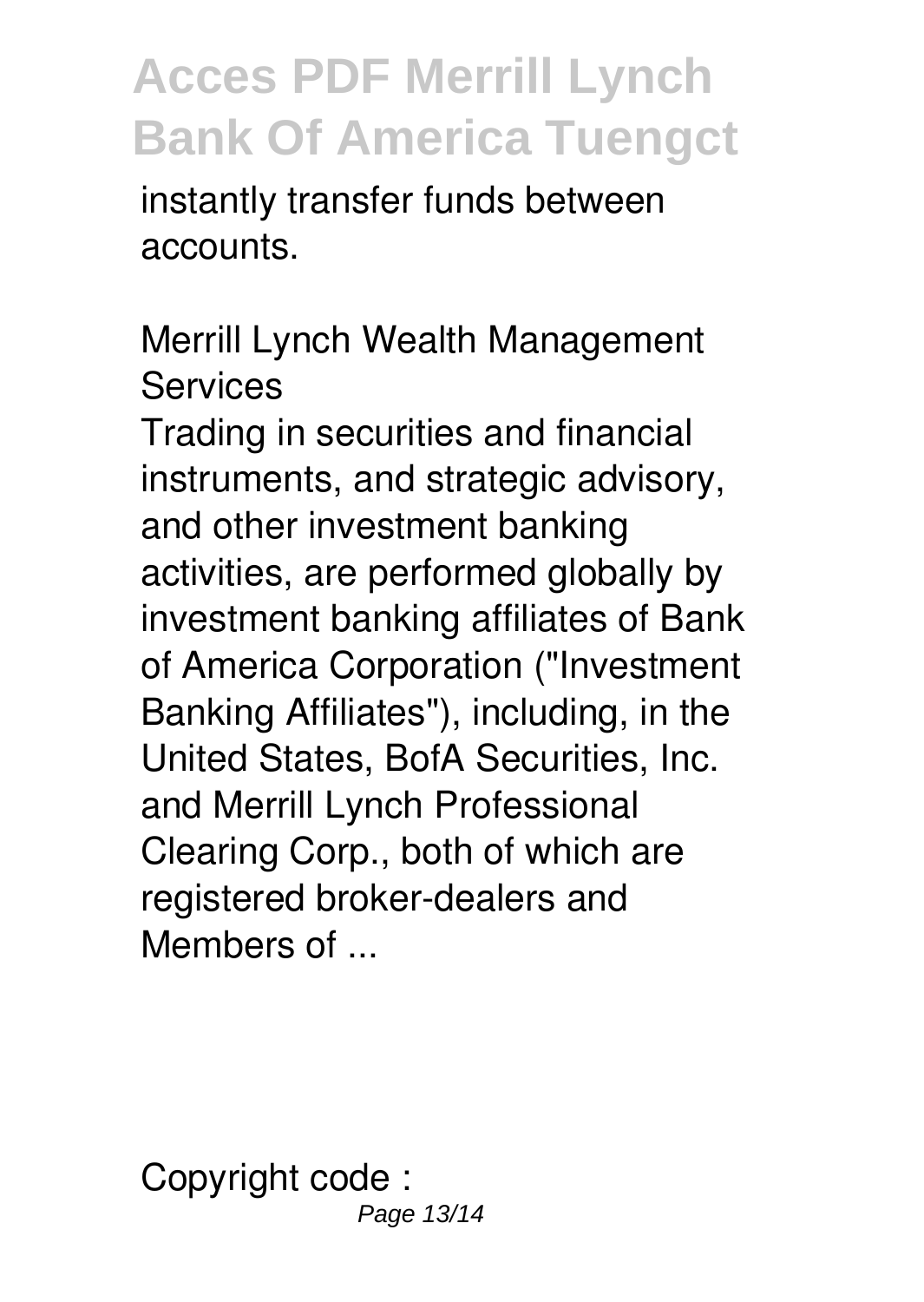instantly transfer funds between accounts.

*Merrill Lynch Wealth Management Services*

Trading in securities and financial instruments, and strategic advisory, and other investment banking activities, are performed globally by investment banking affiliates of Bank of America Corporation ("Investment Banking Affiliates"), including, in the United States, BofA Securities, Inc. and Merrill Lynch Professional Clearing Corp., both of which are registered broker-dealers and Members of ...

Copyright code : Page 13/14